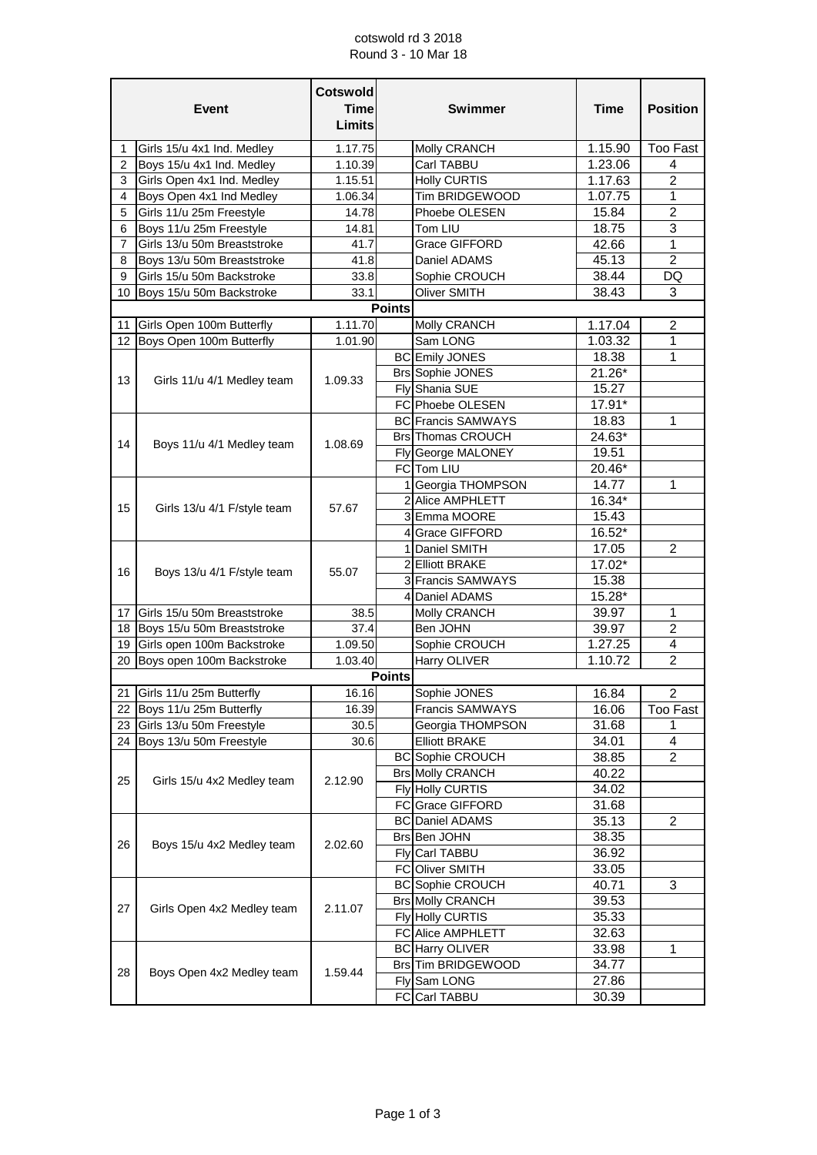## cotswold rd 3 2018 Round 3 - 10 Mar 18

| <b>Event</b>    |                                                     | <b>Cotswold</b><br><b>Time</b><br><b>Limits</b> | <b>Swimmer</b> |                                 | <b>Time</b>    | <b>Position</b>     |
|-----------------|-----------------------------------------------------|-------------------------------------------------|----------------|---------------------------------|----------------|---------------------|
|                 |                                                     |                                                 |                |                                 |                |                     |
| 1               | Girls 15/u 4x1 Ind. Medley                          | 1.17.75                                         |                | Molly CRANCH                    | 1.15.90        | Too Fast            |
| 2               | Boys 15/u 4x1 Ind. Medley                           | 1.10.39                                         |                | Carl TABBU                      | 1.23.06        | $\overline{4}$      |
| 3               | Girls Open 4x1 Ind. Medley                          | 1.15.51                                         |                | Holly CURTIS                    | 1.17.63        | 2                   |
| 4               | Boys Open 4x1 Ind Medley                            | 1.06.34                                         |                | Tim BRIDGEWOOD<br>Phoebe OLESEN | 1.07.75        | 1                   |
| 5<br>6          | Girls 11/u 25m Freestyle<br>Boys 11/u 25m Freestyle | 14.78<br>14.81                                  |                | Tom LIU                         | 15.84<br>18.75 | $\overline{2}$<br>3 |
| 7               | Girls 13/u 50m Breaststroke                         | 41.7                                            |                | Grace GIFFORD                   | 42.66          | 1                   |
| 8               | Boys 13/u 50m Breaststroke                          | 41.8                                            |                | Daniel ADAMS                    | 45.13          | $\overline{c}$      |
| 9               | Girls 15/u 50m Backstroke                           | 33.8                                            |                | Sophie CROUCH                   | 38.44          | DQ                  |
| 10              | Boys 15/u 50m Backstroke                            | 33.1                                            |                | <b>Oliver SMITH</b>             | 38.43          | 3                   |
|                 |                                                     |                                                 | <b>Points</b>  |                                 |                |                     |
| 11              | Girls Open 100m Butterfly                           | 1.11.70                                         |                | Molly CRANCH                    | 1.17.04        | $\overline{c}$      |
| 12 <sup>°</sup> | Boys Open 100m Butterfly                            | 1.01.90                                         |                | Sam LONG                        | 1.03.32        | 1                   |
|                 |                                                     |                                                 |                | <b>BC</b> Emily JONES           | 18.38          | 1                   |
|                 | Girls 11/u 4/1 Medley team                          | 1.09.33                                         |                | <b>Brs Sophie JONES</b>         | 21.26*         |                     |
| 13              |                                                     |                                                 |                | Fly Shania SUE                  | 15.27          |                     |
|                 |                                                     |                                                 |                | FC Phoebe OLESEN                | 17.91*         |                     |
|                 |                                                     |                                                 |                | <b>BC</b> Francis SAMWAYS       | 18.83          | 1                   |
|                 |                                                     |                                                 |                | <b>Brs</b> Thomas CROUCH        | 24.63*         |                     |
| 14              | Boys 11/u 4/1 Medley team                           | 1.08.69                                         |                | Fly George MALONEY              | 19.51          |                     |
|                 |                                                     |                                                 |                | FC Tom LIU                      | 20.46*         |                     |
|                 |                                                     |                                                 |                | Georgia THOMPSON                | 14.77          | 1                   |
|                 | Girls 13/u 4/1 F/style team                         |                                                 |                | 2 Alice AMPHLETT                | 16.34*         |                     |
| 15              |                                                     | 57.67                                           |                | 3 Emma MOORE                    | 15.43          |                     |
|                 |                                                     |                                                 |                | 4 Grace GIFFORD                 | 16.52*         |                     |
|                 |                                                     |                                                 |                | 1 Daniel SMITH                  | 17.05          | 2                   |
|                 |                                                     |                                                 |                | 2 Elliott BRAKE                 | 17.02*         |                     |
| 16              | Boys 13/u 4/1 F/style team                          | 55.07                                           |                | 3 Francis SAMWAYS               | 15.38          |                     |
|                 |                                                     |                                                 |                | 4 Daniel ADAMS                  | 15.28*         |                     |
| 17              | Girls 15/u 50m Breaststroke                         | 38.5                                            |                | <b>Molly CRANCH</b>             | 39.97          | 1                   |
|                 | 18 Boys 15/u 50m Breaststroke                       | 37.4                                            |                | Ben JOHN                        | 39.97          | $\overline{2}$      |
|                 | 19 Girls open 100m Backstroke                       | 1.09.50                                         |                | Sophie CROUCH                   | 1.27.25        | 4                   |
| 20              | Boys open 100m Backstroke                           | 1.03.40                                         |                | Harry OLIVER                    | 1.10.72        | $\overline{2}$      |
|                 |                                                     |                                                 | <b>Points</b>  |                                 |                |                     |
|                 | 21 Girls 11/u 25m Butterfly                         | 16.16                                           |                | Sophie JONES                    | 16.84          | $\overline{2}$      |
|                 | 22 Boys 11/u 25m Butterfly                          | 16.39                                           |                | Francis SAMWAYS                 | 16.06          | Too Fast            |
|                 | 23 Girls 13/u 50m Freestyle                         | 30.5                                            |                | Georgia THOMPSON                | 31.68          | 1                   |
|                 | 24 Boys 13/u 50m Freestyle                          | 30.6                                            |                | <b>Elliott BRAKE</b>            | 34.01          | 4                   |
|                 |                                                     |                                                 |                | <b>BC</b> Sophie CROUCH         | 38.85          | $\overline{2}$      |
| 25              | Girls 15/u 4x2 Medley team                          | 2.12.90                                         |                | <b>Brs Molly CRANCH</b>         | 40.22          |                     |
|                 |                                                     |                                                 |                | <b>Fly Holly CURTIS</b>         | 34.02          |                     |
|                 |                                                     |                                                 |                | FC Grace GIFFORD                | 31.68          |                     |
|                 | Boys 15/u 4x2 Medley team                           | 2.02.60                                         |                | <b>BC</b> Daniel ADAMS          | 35.13          | 2                   |
| 26              |                                                     |                                                 |                | Brs Ben JOHN                    | 38.35          |                     |
|                 |                                                     |                                                 |                | Fly Carl TABBU                  | 36.92          |                     |
|                 |                                                     |                                                 |                | FC Oliver SMITH                 | 33.05          |                     |
| 27              | Girls Open 4x2 Medley team                          | 2.11.07                                         |                | <b>BC</b> Sophie CROUCH         | 40.71          | 3                   |
|                 |                                                     |                                                 |                | <b>Brs Molly CRANCH</b>         | 39.53          |                     |
|                 |                                                     |                                                 |                | Fly Holly CURTIS                | 35.33          |                     |
|                 |                                                     |                                                 |                | FC Alice AMPHLETT               | 32.63          |                     |
| 28              | Boys Open 4x2 Medley team                           | 1.59.44                                         |                | <b>BC</b> Harry OLIVER          | 33.98          | 1                   |
|                 |                                                     |                                                 |                | Brs Tim BRIDGEWOOD              | 34.77          |                     |
|                 |                                                     |                                                 |                | Fly Sam LONG                    | 27.86          |                     |
|                 |                                                     |                                                 |                | FC Carl TABBU                   | 30.39          |                     |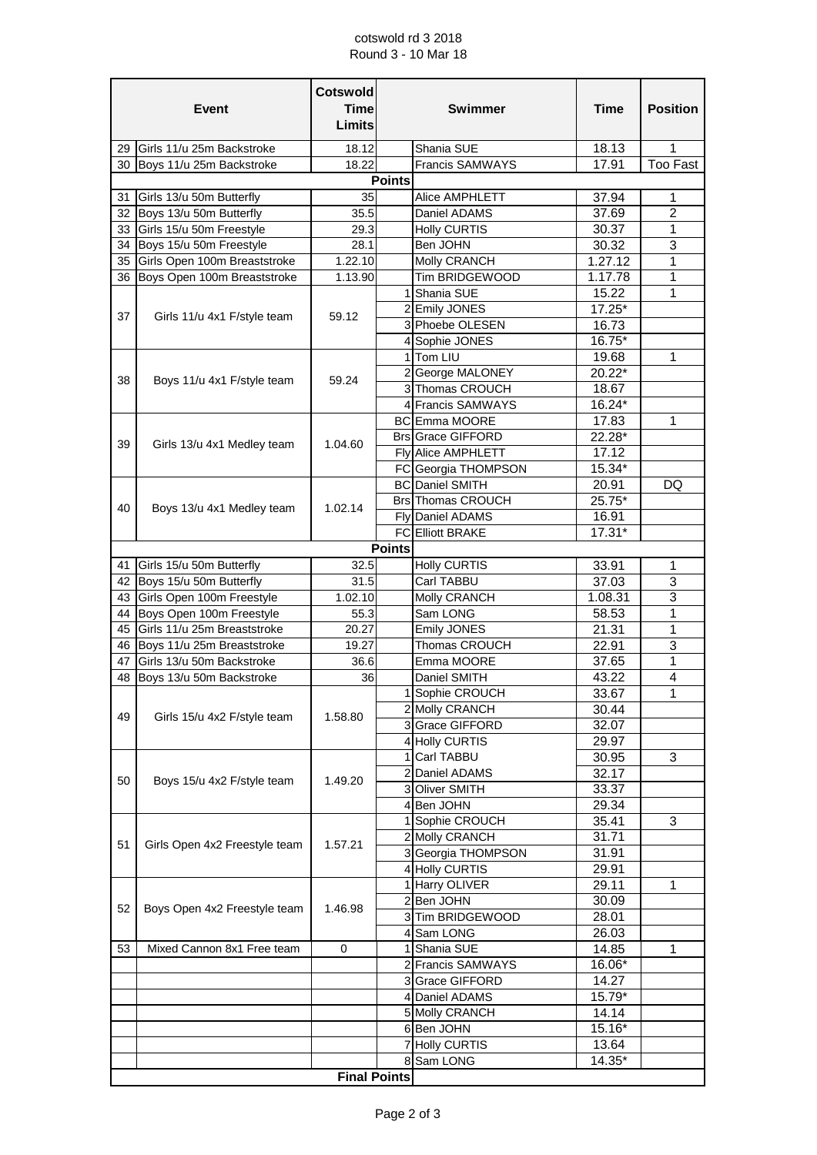## cotswold rd 3 2018 Round 3 - 10 Mar 18

| <b>Event</b> |                               | <b>Cotswold</b><br><b>Time</b><br>Limits | <b>Swimmer</b> |                                           | <b>Time</b>     | <b>Position</b> |
|--------------|-------------------------------|------------------------------------------|----------------|-------------------------------------------|-----------------|-----------------|
|              | 29 Girls 11/u 25m Backstroke  | 18.12                                    |                | Shania SUE                                | 18.13           | 1               |
| 30 I         | Boys 11/u 25m Backstroke      | 18.22                                    |                | <b>Francis SAMWAYS</b>                    | 17.91           | Too Fast        |
|              |                               | <b>Points</b>                            |                |                                           |                 |                 |
| 31           | Girls 13/u 50m Butterfly      | 35                                       |                | Alice AMPHLETT                            | 37.94           | 1               |
| 32 I         | Boys 13/u 50m Butterfly       | 35.5                                     |                | Daniel ADAMS                              | 37.69           | 2               |
| 33           | Girls 15/u 50m Freestyle      | 29.3                                     |                | <b>Holly CURTIS</b>                       | 30.37           | 1               |
| 34           | Boys 15/u 50m Freestyle       | 28.1                                     |                | Ben JOHN                                  | 30.32           | 3               |
| 35           | Girls Open 100m Breaststroke  | 1.22.10                                  |                | <b>Molly CRANCH</b>                       | 1.27.12         | 1               |
| 36           | Boys Open 100m Breaststroke   | 1.13.90                                  |                | Tim BRIDGEWOOD                            | 1.17.78         | 1               |
|              |                               | 59.12                                    |                | 1 Shania SUE                              | 15.22           | 1               |
| 37           | Girls 11/u 4x1 F/style team   |                                          |                | 2 Emily JONES                             | 17.25*          |                 |
|              |                               |                                          |                | 3 Phoebe OLESEN                           | 16.73           |                 |
|              |                               |                                          |                | 4 Sophie JONES                            | 16.75*          |                 |
|              |                               |                                          |                | 1 Tom LIU                                 | 19.68           | 1               |
| 38           | Boys 11/u 4x1 F/style team    | 59.24                                    |                | 2 George MALONEY                          | 20.22*          |                 |
|              |                               |                                          |                | 3 Thomas CROUCH                           | 18.67           |                 |
|              |                               |                                          |                | 4 Francis SAMWAYS<br><b>BC</b> Emma MOORE | 16.24*<br>17.83 | 1               |
|              |                               |                                          |                | <b>Brs</b> Grace GIFFORD                  | 22.28*          |                 |
| 39           | Girls 13/u 4x1 Medley team    | 1.04.60                                  |                | Fly Alice AMPHLETT                        | 17.12           |                 |
|              |                               |                                          |                | FC Georgia THOMPSON                       | 15.34*          |                 |
|              |                               |                                          |                | <b>BC Daniel SMITH</b>                    | 20.91           | DQ              |
|              |                               |                                          |                | <b>Brs</b> Thomas CROUCH                  | 25.75*          |                 |
| 40           | Boys 13/u 4x1 Medley team     | 1.02.14                                  |                | <b>Fly Daniel ADAMS</b>                   | 16.91           |                 |
|              |                               |                                          |                | <b>FC Elliott BRAKE</b>                   | 17.31*          |                 |
|              |                               | <b>Points</b>                            |                |                                           |                 |                 |
| 41           | Girls 15/u 50m Butterfly      | 32.5                                     |                | <b>Holly CURTIS</b>                       | 33.91           | 1               |
|              | 42 Boys 15/u 50m Butterfly    | 31.5                                     |                | Carl TABBU                                | 37.03           | 3               |
| 43           | Girls Open 100m Freestyle     | 1.02.10                                  |                | <b>Molly CRANCH</b>                       | 1.08.31         | $\overline{3}$  |
| 44           | Boys Open 100m Freestyle      | 55.3                                     |                | Sam LONG                                  | 58.53           | 1               |
| 45           | Girls 11/u 25m Breaststroke   | 20.27                                    |                | <b>Emily JONES</b>                        | 21.31           | 1               |
| 46           | Boys 11/u 25m Breaststroke    | 19.27                                    |                | Thomas CROUCH                             | 22.91           | 3               |
| 47           | Girls 13/u 50m Backstroke     | 36.6                                     |                | Emma MOORE                                | 37.65           | 1               |
|              | 48 Boys 13/u 50m Backstroke   | 36                                       |                | Daniel SMITH                              | 43.22           | $\overline{4}$  |
|              | Girls 15/u 4x2 F/style team   | 1.58.80                                  |                | 1 Sophie CROUCH                           | 33.67           | 1               |
| 49           |                               |                                          |                | 2 Molly CRANCH                            | 30.44           |                 |
|              |                               |                                          |                | 3 Grace GIFFORD                           | 32.07           |                 |
|              |                               |                                          |                | 4 Holly CURTIS                            | 29.97           |                 |
|              | Boys 15/u 4x2 F/style team    |                                          |                | 1 Carl TABBU                              | 30.95           | 3               |
| 50           |                               | 1.49.20                                  |                | 2 Daniel ADAMS                            | 32.17           |                 |
|              |                               |                                          |                | 3 Oliver SMITH                            | 33.37           |                 |
|              |                               |                                          |                | 4 Ben JOHN                                | 29.34           |                 |
|              | Girls Open 4x2 Freestyle team | 1.57.21                                  |                | 1 Sophie CROUCH                           | 35.41           | 3               |
| 51           |                               |                                          |                | 2 Molly CRANCH<br>3 Georgia THOMPSON      | 31.71           |                 |
|              |                               |                                          |                | 4 Holly CURTIS                            | 31.91<br>29.91  |                 |
|              | Boys Open 4x2 Freestyle team  |                                          |                | 1 Harry OLIVER                            | 29.11           | 1               |
|              |                               | 1.46.98                                  |                | 2 Ben JOHN                                | 30.09           |                 |
| 52           |                               |                                          |                | 3 Tim BRIDGEWOOD                          | 28.01           |                 |
|              |                               |                                          |                | 4 Sam LONG                                | 26.03           |                 |
| 53           | Mixed Cannon 8x1 Free team    | 0                                        |                | 1 Shania SUE                              | 14.85           | 1               |
|              |                               |                                          |                | 2 Francis SAMWAYS                         | 16.06*          |                 |
|              |                               |                                          |                | 3 Grace GIFFORD                           | 14.27           |                 |
|              |                               |                                          |                | 4 Daniel ADAMS                            | 15.79*          |                 |
|              |                               |                                          |                | 5 Molly CRANCH                            | 14.14           |                 |
|              |                               |                                          |                | 6 Ben JOHN                                | 15.16*          |                 |
|              |                               |                                          |                | 7 Holly CURTIS                            | 13.64           |                 |
|              |                               |                                          |                | 8 Sam LONG                                | 14.35*          |                 |
|              |                               | <b>Final Points</b>                      |                |                                           |                 |                 |